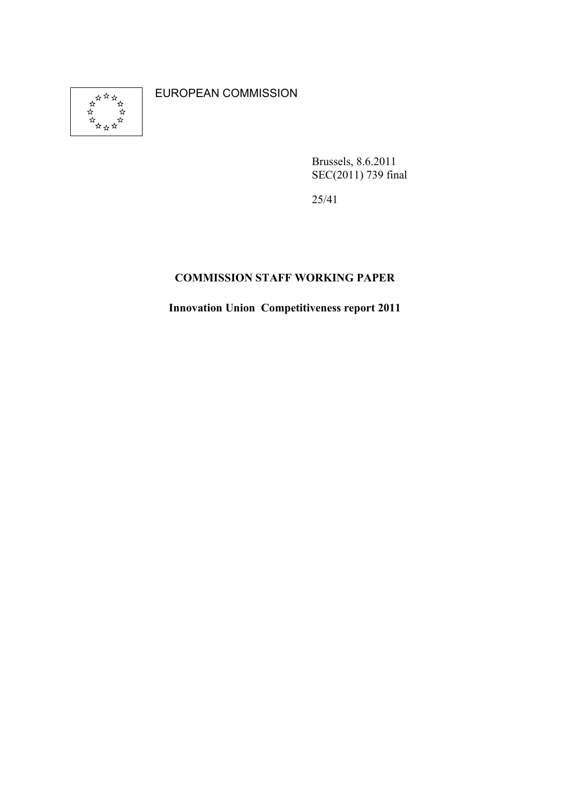

EUROPEAN COMMISSION

Brussels, 8.6.2011 SEC(2011) 739 final

25/41

# COMMISSION STAFF WORKING PAPER

Innovation Union Competitiveness report 2011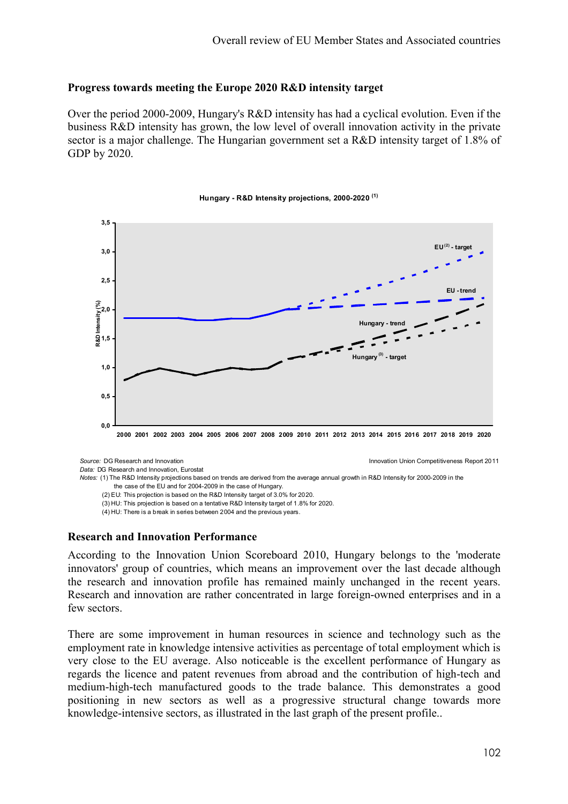# Progress towards meeting the Europe 2020 R&D intensity target

Over the period 2000-2009, Hungary's R&D intensity has had a cyclical evolution. Even if the business R&D intensity has grown, the low level of overall innovation activity in the private sector is a major challenge. The Hungarian government set a R&D intensity target of 1.8% of GDP by 2020.



### Hungary - R&D Intensity projections, 2000-2020 (1)

Source: DG Research and Innovation Innovation Union Competitiveness Report 2011

Data: DG Research and Innovation, Eurostat

Notes: (1) The R&D Intensity projections based on trends are derived from the average annual growth in R&D Intensity for 2000-2009 in the the case of the EU and for 2004-2009 in the case of Hungary.

(3) HU: This projection is based on a tentative R&D Intensity target of 1.8% for 2020.

(4) HU: There is a break in series between 2004 and the previous years.

### Research and Innovation Performance

According to the Innovation Union Scoreboard 2010, Hungary belongs to the 'moderate innovators' group of countries, which means an improvement over the last decade although the research and innovation profile has remained mainly unchanged in the recent years. Research and innovation are rather concentrated in large foreign-owned enterprises and in a few sectors.

There are some improvement in human resources in science and technology such as the employment rate in knowledge intensive activities as percentage of total employment which is very close to the EU average. Also noticeable is the excellent performance of Hungary as regards the licence and patent revenues from abroad and the contribution of high-tech and medium-high-tech manufactured goods to the trade balance. This demonstrates a good positioning in new sectors as well as a progressive structural change towards more knowledge-intensive sectors, as illustrated in the last graph of the present profile..

 <sup>(2)</sup> EU: This projection is based on the R&D Intensity target of 3.0% for 2020.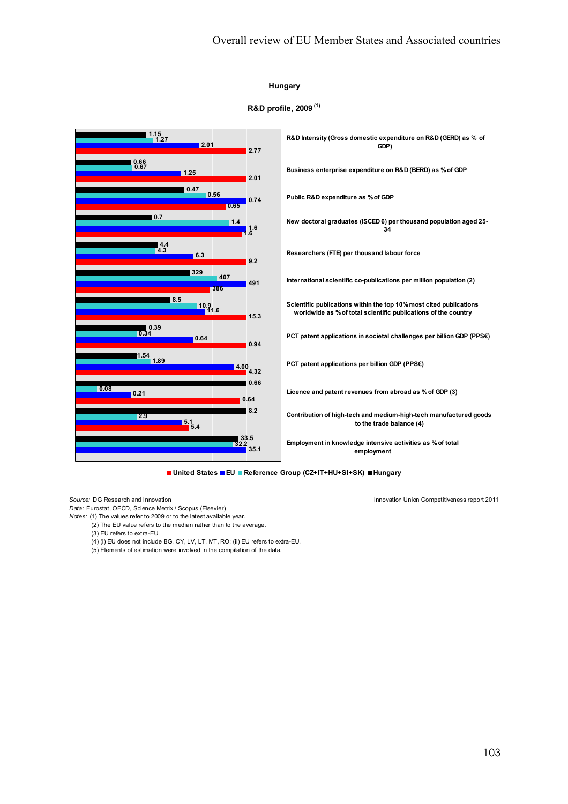### Hungary

### R&D profile, 2009 (1)



■ United States ■ EU ■ Reference Group (CZ+IT+HU+SI+SK) ■ Hungary

Source: DG Research and Innovation Innovation Union Competitiveness report 2011

Data: Eurostat, OECD, Science Metrix / Scopus (Elsevier)

- Notes: (1) The values refer to 2009 or to the latest available year.
	- (2) The EU value refers to the median rather than to the average.
	- (3) EU refers to extra-EU.
	- (4) (i) EU does not include BG, CY, LV, LT, MT, RO; (ii) EU refers to extra-EU.
	- (5) Elements of estimation were involved in the compilation of the data.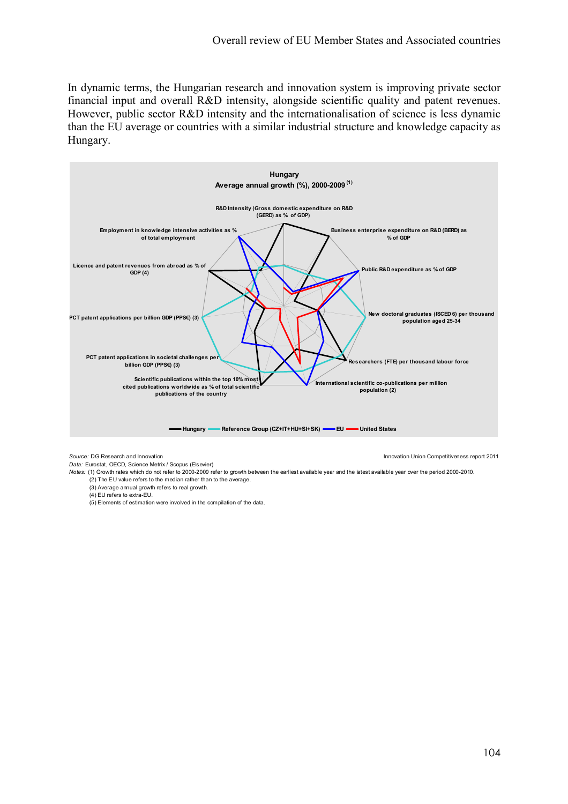In dynamic terms, the Hungarian research and innovation system is improving private sector financial input and overall R&D intensity, alongside scientific quality and patent revenues. However, public sector R&D intensity and the internationalisation of science is less dynamic than the EU average or countries with a similar industrial structure and knowledge capacity as Hungary.



Source: DG Research and Innovation Innovation Union Competitiveness report 2011

Data: Eurostat, OECD, Science Metrix / Scopus (Elsevier)

Notes: (1) Growth rates which do not refer to 2000-2009 refer to growth between the earliest available year and the latest available year over the period 2000-2010.

- $(2)$  The EU value refers to the median rather than to the average.
- (3) Average annual growth refers to real growth.
- (4) EU refers to extra-EU.
- (5) Elements of estimation were involved in the compilation of the data.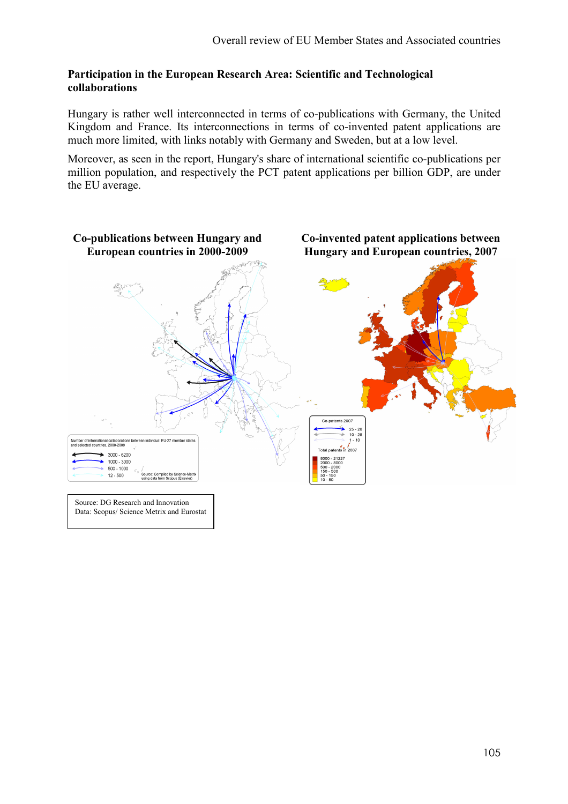# Participation in the European Research Area: Scientific and Technological collaborations

Hungary is rather well interconnected in terms of co-publications with Germany, the United Kingdom and France. Its interconnections in terms of co-invented patent applications are much more limited, with links notably with Germany and Sweden, but at a low level.

Moreover, as seen in the report, Hungary's share of international scientific co-publications per million population, and respectively the PCT patent applications per billion GDP, are under the EU average.

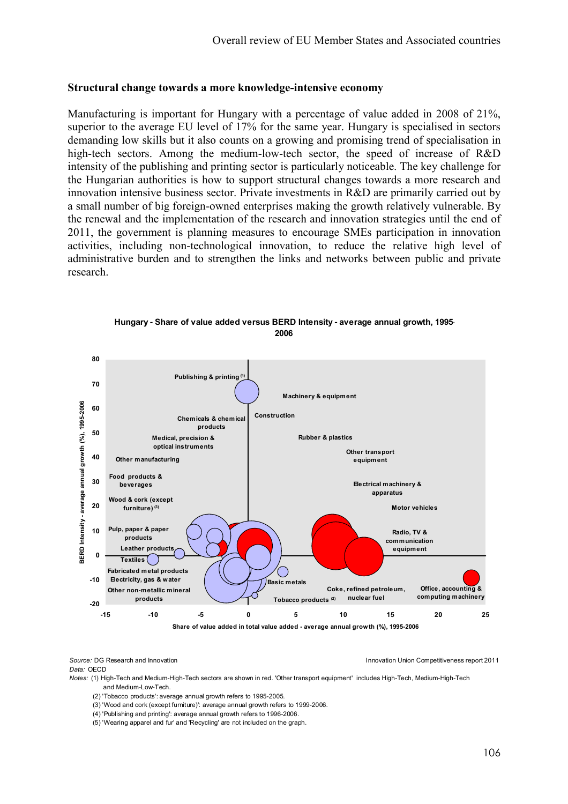## Structural change towards a more knowledge-intensive economy

Manufacturing is important for Hungary with a percentage of value added in 2008 of 21%, superior to the average EU level of 17% for the same year. Hungary is specialised in sectors demanding low skills but it also counts on a growing and promising trend of specialisation in high-tech sectors. Among the medium-low-tech sector, the speed of increase of R&D intensity of the publishing and printing sector is particularly noticeable. The key challenge for the Hungarian authorities is how to support structural changes towards a more research and innovation intensive business sector. Private investments in R&D are primarily carried out by a small number of big foreign-owned enterprises making the growth relatively vulnerable. By the renewal and the implementation of the research and innovation strategies until the end of 2011, the government is planning measures to encourage SMEs participation in innovation activities, including non-technological innovation, to reduce the relative high level of administrative burden and to strengthen the links and networks between public and private research.



Hungary - Share of value added versus BERD Intensity - average annual growth, 1995- 2006

Source: DG Research and Innovation Innovation Union Competitiveness report 2011 Data: OECD

Notes: (1) High-Tech and Medium-High-Tech sectors are shown in red. 'Other transport equipment' includes High-Tech, Medium-High-Tech and Medium-Low-Tech.

- (2) 'Tobacco products': average annual growth refers to 1995-2005.
- (3) 'Wood and cork (except furniture)': average annual growth refers to 1999-2006.
- (4) 'Publishing and printing': average annual growth refers to 1996-2006.
- (5) 'Wearing apparel and fur' and 'Recycling' are not included on the graph.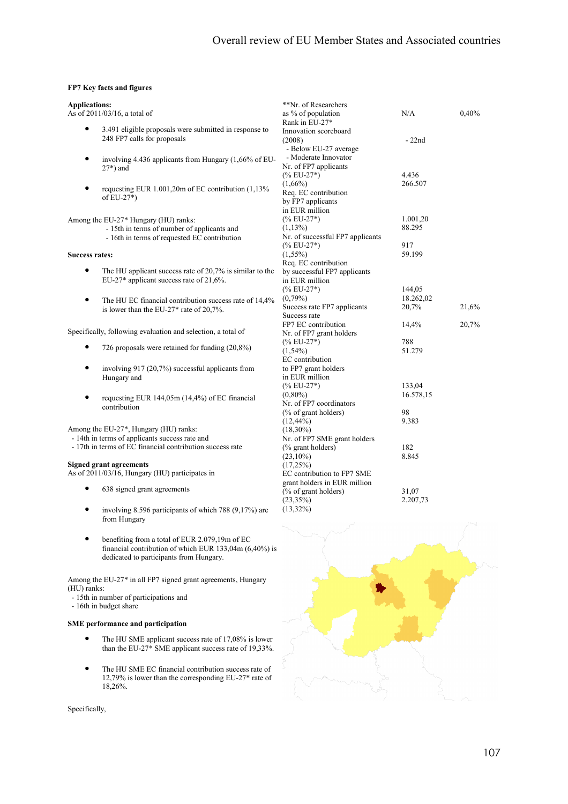### FP7 Key facts and figures

| <b>Applications:</b>  |                                                              | **Nr. of Researchers             |           |       |
|-----------------------|--------------------------------------------------------------|----------------------------------|-----------|-------|
|                       | As of 2011/03/16, a total of                                 | as % of population               | N/A       | 0,40% |
|                       |                                                              | Rank in EU-27*                   |           |       |
|                       | 3.491 eligible proposals were submitted in response to       | Innovation scoreboard            |           |       |
|                       | 248 FP7 calls for proposals                                  | (2008)                           | $-22nd$   |       |
|                       |                                                              | - Below EU-27 average            |           |       |
| $\bullet$             | involving 4.436 applicants from Hungary (1,66% of EU-        | - Moderate Innovator             |           |       |
|                       | $27*$ ) and                                                  | Nr. of FP7 applicants            |           |       |
|                       |                                                              | $(\%$ EU-27 <sup>*</sup> )       | 4.436     |       |
|                       |                                                              | $(1,66\%)$                       | 266.507   |       |
|                       | requesting EUR 1.001,20m of EC contribution (1,13%)          | Req. EC contribution             |           |       |
|                       | of $EU-27^*$ )                                               | by FP7 applicants                |           |       |
|                       |                                                              | in EUR million                   |           |       |
|                       | Among the EU-27* Hungary (HU) ranks:                         | $(\%$ EU-27*)                    | 1.001,20  |       |
|                       | - 15th in terms of number of applicants and                  | $(1,13\%)$                       | 88.295    |       |
|                       | - 16th in terms of requested EC contribution                 | Nr. of successful FP7 applicants |           |       |
|                       |                                                              | $(\%$ EU-27*)                    | 917       |       |
| <b>Success rates:</b> |                                                              | $(1,55\%)$                       | 59.199    |       |
|                       |                                                              | Req. EC contribution             |           |       |
| $\bullet$             | The HU applicant success rate of 20,7% is similar to the     | by successful FP7 applicants     |           |       |
|                       | EU-27* applicant success rate of 21,6%.                      | in EUR million                   |           |       |
|                       |                                                              | $(\%$ EU-27*)                    | 144,05    |       |
|                       |                                                              | $(0,79\%)$                       | 18.262,02 |       |
| $\bullet$             | The HU EC financial contribution success rate of 14,4%       | Success rate FP7 applicants      | 20,7%     | 21,6% |
|                       | is lower than the EU-27* rate of 20,7%.                      | Success rate                     |           |       |
|                       |                                                              | FP7 EC contribution              |           |       |
|                       | Specifically, following evaluation and selection, a total of |                                  | 14,4%     | 20,7% |
|                       |                                                              | Nr. of FP7 grant holders         |           |       |
|                       | 726 proposals were retained for funding $(20,8\%)$           | $(\%$ EU-27*)                    | 788       |       |
|                       |                                                              | $(1,54\%)$<br>EC contribution    | 51.279    |       |
| $\bullet$             |                                                              |                                  |           |       |
|                       | involving 917 (20,7%) successful applicants from             | to FP7 grant holders             |           |       |
|                       | Hungary and                                                  | in EUR million                   |           |       |
|                       |                                                              | $(\%$ EU-27*)                    | 133,04    |       |
| $\bullet$             | requesting EUR 144,05m (14,4%) of EC financial               | $(0,80\%)$                       | 16.578,15 |       |
|                       | contribution                                                 | Nr. of FP7 coordinators          |           |       |
|                       |                                                              | (% of grant holders)             | 98        |       |
|                       |                                                              | $(12,44\%)$                      | 9.383     |       |
|                       | Among the EU-27*, Hungary (HU) ranks:                        | $(18,30\%)$                      |           |       |
|                       | - 14th in terms of applicants success rate and               | Nr. of FP7 SME grant holders     |           |       |
|                       | - 17th in terms of EC financial contribution success rate    | (% grant holders)                | 182       |       |
|                       |                                                              | $(23,10\%)$                      | 8.845     |       |
|                       | <b>Signed grant agreements</b>                               | (17,25%)                         |           |       |
|                       | As of 2011/03/16, Hungary (HU) participates in               | EC contribution to FP7 SME       |           |       |
| ٠                     |                                                              | grant holders in EUR million     |           |       |
|                       | 638 signed grant agreements                                  | (% of grant holders)             | 31,07     |       |
|                       |                                                              | $(23,35\%)$                      | 2.207,73  |       |
|                       | involving 8.596 participants of which 788 (9,17%) are        | $(13,32\%)$                      |           |       |
|                       | from Hungary                                                 |                                  |           |       |



• benefiting from a total of EUR 2.079,19m of EC financial contribution of which EUR 133,04m (6,40%) is dedicated to participants from Hungary.

Among the EU-27\* in all FP7 signed grant agreements, Hungary (HU) ranks:

- 15th in number of participations and
- 16th in budget share

### SME performance and participation

- The HU SME applicant success rate of 17,08% is lower than the EU-27\* SME applicant success rate of 19,33%.
- The HU SME EC financial contribution success rate of 12,79% is lower than the corresponding EU-27\* rate of 18,26%.

Specifically,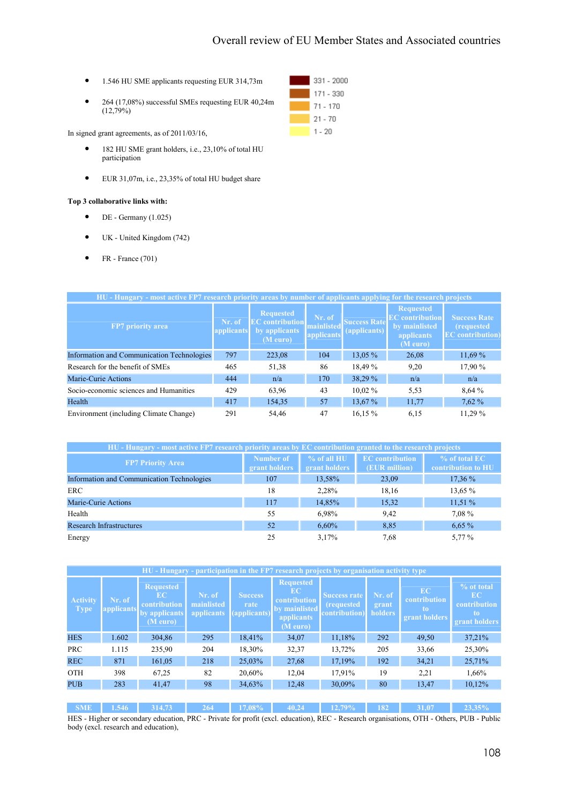- 1.546 HU SME applicants requesting EUR 314,73m
- 264 (17,08%) successful SMEs requesting EUR 40,24m  $(12,79\%)$

In signed grant agreements, as of 2011/03/16,

- 182 HU SME grant holders, i.e., 23,10% of total HU participation
- EUR 31,07m, i.e., 23,35% of total HU budget share

### Top 3 collaborative links with:

- $\bullet$  DE Germany (1.025)
- UK United Kingdom (742)
- FR France  $(701)$

| HU - Hungary - most active FP7 research priority areas by number of applicants applying for the research projects |                      |                                                                         |                                    |                                             |                                                                                              |                                                                      |  |  |  |  |
|-------------------------------------------------------------------------------------------------------------------|----------------------|-------------------------------------------------------------------------|------------------------------------|---------------------------------------------|----------------------------------------------------------------------------------------------|----------------------------------------------------------------------|--|--|--|--|
| <b>FP7</b> priority area                                                                                          | Nr. of<br>applicants | <b>Requested</b><br><b>EC</b> contribution<br>by applicants<br>(M euro) | Nr. of<br>mainlisted<br>applicants | <b>Success Rate</b><br>$\left($ applicants) | <b>Requested</b><br><b>EC</b> contribution<br>by mainlisted<br><i>applicants</i><br>(M euro) | <b>Success Rate</b><br><i>(requested)</i><br><b>EC</b> contribution) |  |  |  |  |
| Information and Communication Technologies                                                                        | 797                  | 223,08                                                                  | 104                                | 13,05 %                                     | 26,08                                                                                        | 11,69%                                                               |  |  |  |  |
| Research for the benefit of SMEs                                                                                  | 465                  | 51,38                                                                   | 86                                 | 18,49 %                                     | 9,20                                                                                         | 17,90 %                                                              |  |  |  |  |
| Marie-Curie Actions                                                                                               | 444                  | n/a                                                                     | 170                                | 38,29 %                                     | n/a                                                                                          | n/a                                                                  |  |  |  |  |
| Socio-economic sciences and Humanities                                                                            | 429                  | 63,96                                                                   | 43                                 | $10.02\%$                                   | 5,53                                                                                         | 8,64 %                                                               |  |  |  |  |
| Health                                                                                                            | 417                  | 154,35                                                                  | 57                                 | 13,67 %                                     | 11,77                                                                                        | 7,62%                                                                |  |  |  |  |
| Environment (including Climate Change)                                                                            | 291                  | 54,46                                                                   | 47                                 | 16,15 %                                     | 6,15                                                                                         | 11.29 %                                                              |  |  |  |  |

| HU - Hungary - most active FP7 research priority areas by EC contribution granted to the research projects |                            |                              |                                         |                                     |  |  |  |  |  |
|------------------------------------------------------------------------------------------------------------|----------------------------|------------------------------|-----------------------------------------|-------------------------------------|--|--|--|--|--|
| <b>FP7 Priority Area</b>                                                                                   | Number of<br>grant holders | % of all HU<br>grant holders | <b>EC</b> contribution<br>(EUR million) | % of total EC<br>contribution to HU |  |  |  |  |  |
| Information and Communication Technologies                                                                 | 107                        | 13,58%                       | 23,09                                   | $17.36\%$                           |  |  |  |  |  |
| <b>ERC</b>                                                                                                 | 18                         | 2,28%                        | 18,16                                   | 13,65 %                             |  |  |  |  |  |
| Marie-Curie Actions                                                                                        | 117                        | 14.85%                       | 15,32                                   | 11,51%                              |  |  |  |  |  |
| Health                                                                                                     | 55                         | 6.98%                        | 9,42                                    | 7,08 %                              |  |  |  |  |  |
| <b>Research Infrastructures</b>                                                                            | 52                         | 6,60%                        | 8,85                                    | 6,65%                               |  |  |  |  |  |
| Energy                                                                                                     | 25                         | 3.17%                        | 7.68                                    | 5,77 %                              |  |  |  |  |  |

| HU - Hungary - participation in the FP7 research projects by organisation activity type |                      |                                                                     |                                    |                                        |                                                                                    |                                                                  |                                   |                                                  |                                                         |  |
|-----------------------------------------------------------------------------------------|----------------------|---------------------------------------------------------------------|------------------------------------|----------------------------------------|------------------------------------------------------------------------------------|------------------------------------------------------------------|-----------------------------------|--------------------------------------------------|---------------------------------------------------------|--|
| <b>Activity</b><br><b>Type</b>                                                          | Nr. of<br>applicants | <b>Requested</b><br>EC<br>contribution<br>by applicants<br>(M euro) | Nr. of<br>mainlisted<br>applicants | <b>Success</b><br>rate<br>(applicants) | <b>Requested</b><br>EC.<br>contribution<br>by mainlisted<br>applicants<br>(M euro) | <b>Success rate</b><br><i>(requested)</i><br><b>contribution</b> | Nr. of<br>grant<br><b>holders</b> | <b>EC</b><br>contribution<br>to<br>grant holders | % ot total<br>EC<br>contribution<br>to<br>grant holders |  |
| <b>HES</b>                                                                              | 1.602                | 304,86                                                              | 295                                | 18,41%                                 | 34,07                                                                              | 11,18%                                                           | 292                               | 49,50                                            | 37,21%                                                  |  |
| <b>PRC</b>                                                                              | 1.115                | 235,90                                                              | 204                                | 18,30%                                 | 32,37                                                                              | 13,72%                                                           | 205                               | 33,66                                            | 25,30%                                                  |  |
| <b>REC</b>                                                                              | 871                  | 161,05                                                              | 218                                | 25,03%                                 | 27,68                                                                              | 17,19%                                                           | 192                               | 34,21                                            | 25,71%                                                  |  |
| <b>OTH</b>                                                                              | 398                  | 67,25                                                               | 82                                 | 20,60%                                 | 12,04                                                                              | 17,91%                                                           | 19                                | 2,21                                             | 1,66%                                                   |  |
| <b>PUB</b>                                                                              | 283                  | 41,47                                                               | 98                                 | 34,63%                                 | 12,48                                                                              | 30,09%                                                           | 80                                | 13,47                                            | 10,12%                                                  |  |
|                                                                                         |                      |                                                                     |                                    |                                        |                                                                                    |                                                                  |                                   |                                                  |                                                         |  |
| <b>SME</b>                                                                              | 1.546                | 314.73                                                              | 264                                | 17.08%                                 | 40.24                                                                              | 12.79%                                                           | 182                               | 31.07                                            | 23.35%                                                  |  |

HES - Higher or secondary education, PRC - Private for profit (excl. education), REC - Research organisations, OTH - Others, PUB - Public body (excl. research and education),

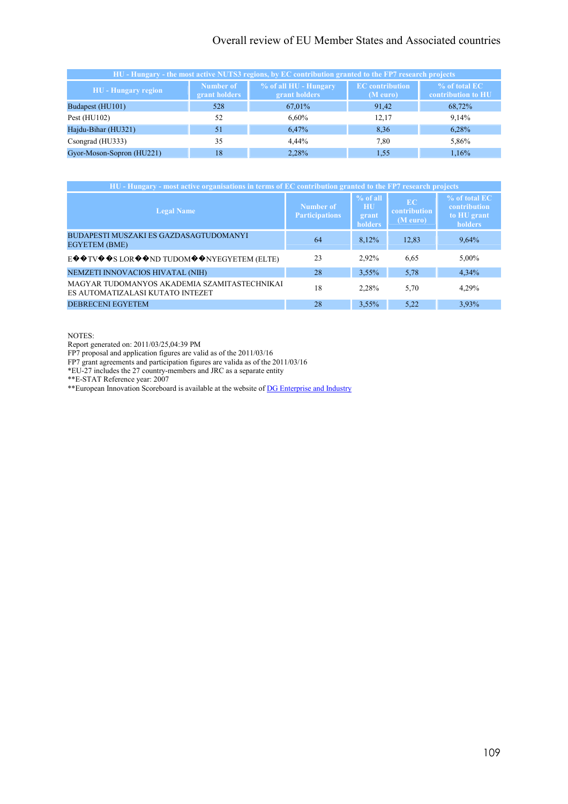# Overall review of EU Member States and Associated countries

| HU - Hungary - the most active NUTS3 regions, by EC contribution granted to the FP7 research projects |                            |                                        |                                    |                                     |  |  |  |  |  |
|-------------------------------------------------------------------------------------------------------|----------------------------|----------------------------------------|------------------------------------|-------------------------------------|--|--|--|--|--|
| <b>HU</b> - Hungary region                                                                            | Number of<br>grant holders | % of all HU - Hungary<br>grant holders | <b>EC</b> contribution<br>(M euro) | % of total EC<br>contribution to HU |  |  |  |  |  |
| Budapest (HU101)                                                                                      | 528                        | 67,01%                                 | 91,42                              | 68,72%                              |  |  |  |  |  |
| Pest $(HU102)$                                                                                        | 52                         | $6,60\%$                               | 12,17                              | 9,14%                               |  |  |  |  |  |
| Hajdu-Bihar (HU321)                                                                                   | 51                         | 6,47%                                  | 8,36                               | 6,28%                               |  |  |  |  |  |
| Csongrad (HU333)                                                                                      | 35                         | $4.44\%$                               | 7,80                               | 5,86%                               |  |  |  |  |  |
| Gyor-Moson-Sopron (HU221)                                                                             | 18                         | 2,28%                                  | 1,55                               | 1,16%                               |  |  |  |  |  |

| HU - Hungary - most active organisations in terms of EC contribution granted to the FP7 research projects  |                                    |                                     |                                       |                                                                |  |  |  |
|------------------------------------------------------------------------------------------------------------|------------------------------------|-------------------------------------|---------------------------------------|----------------------------------------------------------------|--|--|--|
| <b>Legal Name</b>                                                                                          | Number of<br><b>Participations</b> | % of all<br>HU.<br>grant<br>holders | <b>EC</b><br>contribution<br>(M euro) | % of total EC<br>contribution<br>to HU grant<br><b>holders</b> |  |  |  |
| BUDAPESTI MUSZAKI ES GAZDASAGTUDOMANYI<br><b>EGYETEM (BME)</b>                                             | 64                                 | 8,12%                               | 12,83                                 | 9,64%                                                          |  |  |  |
| $E \otimes \otimes TV \otimes \otimes S$ LOR $\otimes \otimes ND$ TUDOM $\otimes \otimes NYEGYETEM$ (ELTE) | 23                                 | 2,92%                               | 6,65                                  | 5,00%                                                          |  |  |  |
| NEMZETI INNOVACIOS HIVATAL (NIH)                                                                           | 28                                 | $3,55\%$                            | 5,78                                  | 4,34%                                                          |  |  |  |
| MAGYAR TUDOMANYOS AKADEMIA SZAMITASTECHNIKAI<br>ES AUTOMATIZALASI KUTATO INTEZET                           | 18                                 | 2,28%                               | 5,70                                  | 4,29%                                                          |  |  |  |
| <b>DEBRECENI EGYETEM</b>                                                                                   | 28                                 | 3.55%                               | 5,22                                  | 3.93%                                                          |  |  |  |

NOTES:

Report generated on: 2011/03/25,04:39 PM

FP7 proposal and application figures are valid as of the 2011/03/16

FP7 grant agreements and participation figures are valida as of the 2011/03/16

\*EU-27 includes the 27 country-members and JRC as a separate entity

\*\*E-STAT Reference year: 2007

\*\*European Innovation Scoreboard is available at the website of DG Enterprise and Industry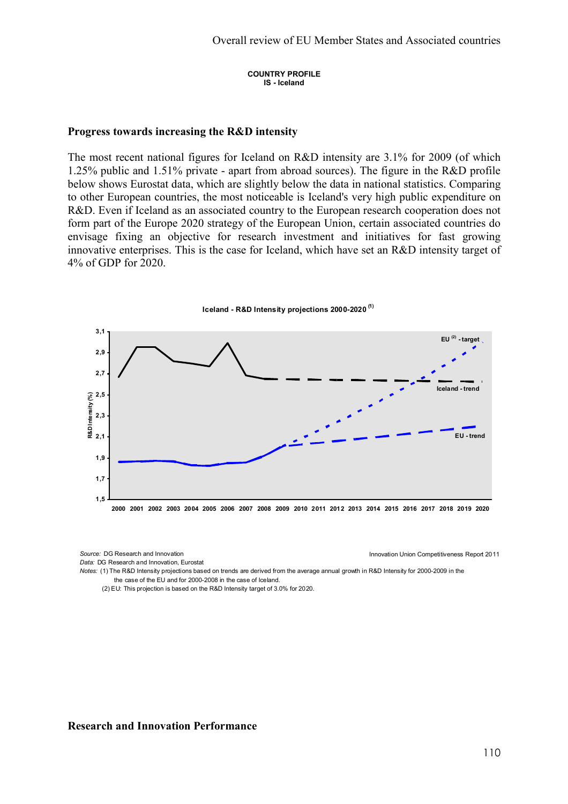COUNTRY PROFILE IS - Iceland

## Progress towards increasing the R&D intensity

The most recent national figures for Iceland on R&D intensity are 3.1% for 2009 (of which 1.25% public and 1.51% private - apart from abroad sources). The figure in the R&D profile below shows Eurostat data, which are slightly below the data in national statistics. Comparing to other European countries, the most noticeable is Iceland's very high public expenditure on R&D. Even if Iceland as an associated country to the European research cooperation does not form part of the Europe 2020 strategy of the European Union, certain associated countries do envisage fixing an objective for research investment and initiatives for fast growing innovative enterprises. This is the case for Iceland, which have set an R&D intensity target of 4% of GDP for 2020.



Iceland - R&D Intensity projections 2000-2020<sup>(1)</sup>

Data: DG Research and Innovation, Eurostat

Source: DG Research and Innovation Innovation Innovation Innovation Union Competitiveness Report 2011

Notes: (1) The R&D Intensity projections based on trends are derived from the average annual growth in R&D Intensity for 2000-2009 in the the case of the EU and for 2000-2008 in the case of Iceland.

(2) EU: This projection is based on the R&D Intensity target of 3.0% for 2020.

# Research and Innovation Performance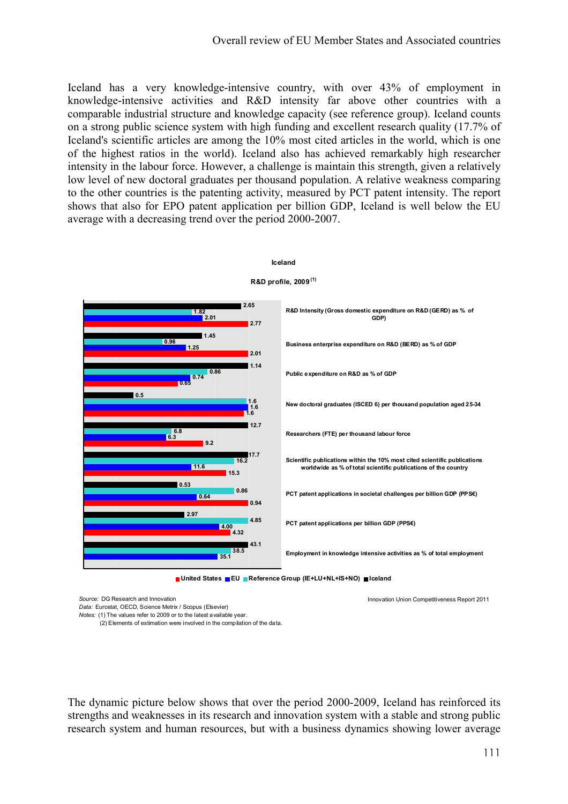Iceland has a very knowledge-intensive country, with over 43% of employment in knowledge-intensive activities and R&D intensity far above other countries with a comparable industrial structure and knowledge capacity (see reference group). Iceland counts on a strong public science system with high funding and excellent research quality (17.7% of Iceland's scientific articles are among the 10% most cited articles in the world, which is one of the highest ratios in the world). Iceland also has achieved remarkably high researcher intensity in the labour force. However, a challenge is maintain this strength, given a relatively low level of new doctoral graduates per thousand population. A relative weakness comparing to the other countries is the patenting activity, measured by PCT patent intensity. The report shows that also for EPO patent application per billion GDP, Iceland is well below the EU average with a decreasing trend over the period 2000-2007.



# Iceland

Source: DG Research and Innovation Innovation Union Competitiveness Report 2011

Data: Eurostat, OECD, Science Metrix / Scopus (Elsevier) Notes: (1) The values refer to 2009 or to the latest available year.

(2) Elements of estimation were involved in the compilation of the data.

The dynamic picture below shows that over the period 2000-2009, Iceland has reinforced its strengths and weaknesses in its research and innovation system with a stable and strong public research system and human resources, but with a business dynamics showing lower average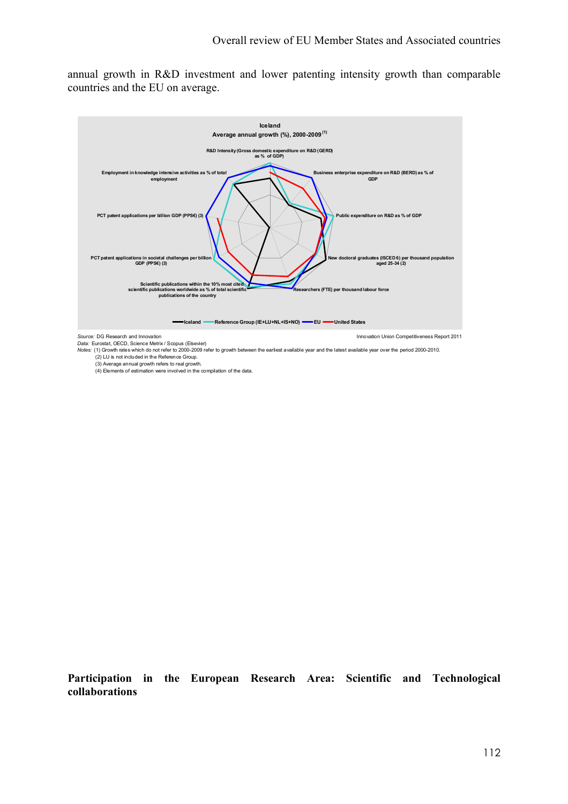annual growth in R&D investment and lower patenting intensity growth than comparable countries and the EU on average.



Notes: (1) Growth rates which do not refer to 2000-2009 refer to growth between the earliest available year and the latest available year over the period 2000-2010. (2) LU is not included in the Reference Group. (3) Average annual growth refers to real growth.

(4) Elements of estimation were involved in the compilation of the data.

Participation in the European Research Area: Scientific and Technological collaborations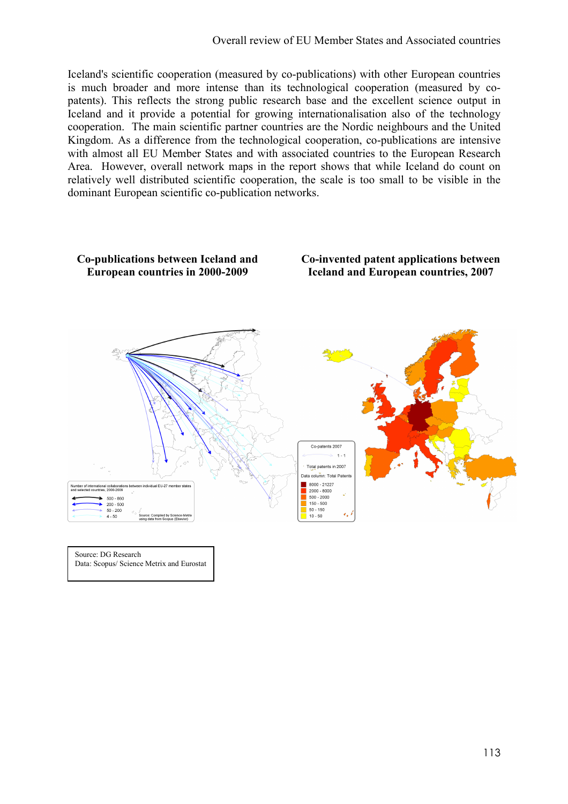Iceland's scientific cooperation (measured by co-publications) with other European countries is much broader and more intense than its technological cooperation (measured by copatents). This reflects the strong public research base and the excellent science output in Iceland and it provide a potential for growing internationalisation also of the technology cooperation. The main scientific partner countries are the Nordic neighbours and the United Kingdom. As a difference from the technological cooperation, co-publications are intensive with almost all EU Member States and with associated countries to the European Research Area. However, overall network maps in the report shows that while Iceland do count on relatively well distributed scientific cooperation, the scale is too small to be visible in the dominant European scientific co-publication networks.



Source: DG Research Data: Scopus/ Science Metrix and Eurostat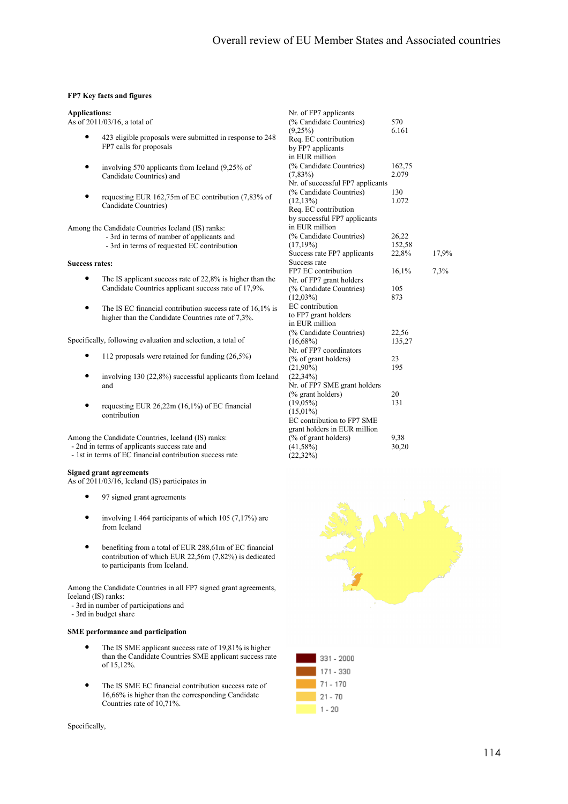#### FP7 Key facts and figures

#### Applications:

As of 2011/03/16, a total of

- 423 eligible proposals were submitted in response to 248 FP7 calls for proposals
- involving 570 applicants from Iceland (9,25% of Candidate Countries) and
- requesting EUR 162,75m of EC contribution (7,83% of Candidate Countries)

Among the Candidate Countries Iceland (IS) ranks:

- 3rd in terms of number of applicants and
- 3rd in terms of requested EC contribution

#### Success rates:

- The IS applicant success rate of 22,8% is higher than the Candidate Countries applicant success rate of 17,9%.
- The IS EC financial contribution success rate of 16,1% is higher than the Candidate Countries rate of 7,3%.

Specifically, following evaluation and selection, a total of

- 112 proposals were retained for funding  $(26,5\%)$
- involving 130 (22,8%) successful applicants from Iceland and
- requesting EUR 26,22m (16,1%) of EC financial contribution

Among the Candidate Countries, Iceland (IS) ranks: - 2nd in terms of applicants success rate and

- 1st in terms of EC financial contribution success rate

#### Signed grant agreements

As of 2011/03/16, Iceland (IS) participates in

- 97 signed grant agreements
- involving 1.464 participants of which  $105 (7,17%)$  are from Iceland
- benefiting from a total of EUR 288,61m of EC financial contribution of which EUR 22,56m (7,82%) is dedicated to participants from Iceland.

Among the Candidate Countries in all FP7 signed grant agreements, Iceland (IS) ranks:

- 3rd in number of participations and
- 3rd in budget share

### SME performance and participation

- The IS SME applicant success rate of 19,81% is higher than the Candidate Countries SME applicant success rate of 15,12%.
- The IS SME EC financial contribution success rate of 16,66% is higher than the corresponding Candidate Countries rate of 10,71%.

Nr. of FP7 applicants (% Candidate Countries)  $570$ <br>(9,25%)  $6.161$  $(9,25%)$ Req. EC contribution by FP7 applicants in EUR million (% Candidate Countries) 162,75<br>(7,83%) 2.079  $(7.83\%)$ Nr. of successful FP7 applicants (% Candidate Countries) 130<br>(12,13%) 1.072  $(12,13%)$ Req. EC contribution by successful FP7 applicants in EUR million (% Candidate Countries) 26,22<br>(17.19%) 152.58  $(17,19\%)$ Success rate FP7 applicants 22,8% 17,9% Success rate FP7 EC contribution 16.1% 7.3% Nr. of FP7 grant holders (% Candidate Countries)  $105$ <br>(12.03%) 873  $(12,03\%)$ EC contribution to FP7 grant holders in EUR million (% Candidate Countries) 22,56<br>(16.68%) 135.27  $(16.68\%)$ Nr. of FP7 coordinators (% of grant holders) 23<br>  $(21.90\%)$  295  $(21,90\%)$  $(22,34\%)$ Nr. of FP7 SME grant holders (% grant holders)  $20$ <br>(19.05%)  $131$  $(19.05\%)$  $(15,01\%)$ EC contribution to FP7 SME grant holders in EUR million  $\frac{6}{9}$  of grant holders) 9.38 (41,58%) 30,20  $(22,32\%)$ 



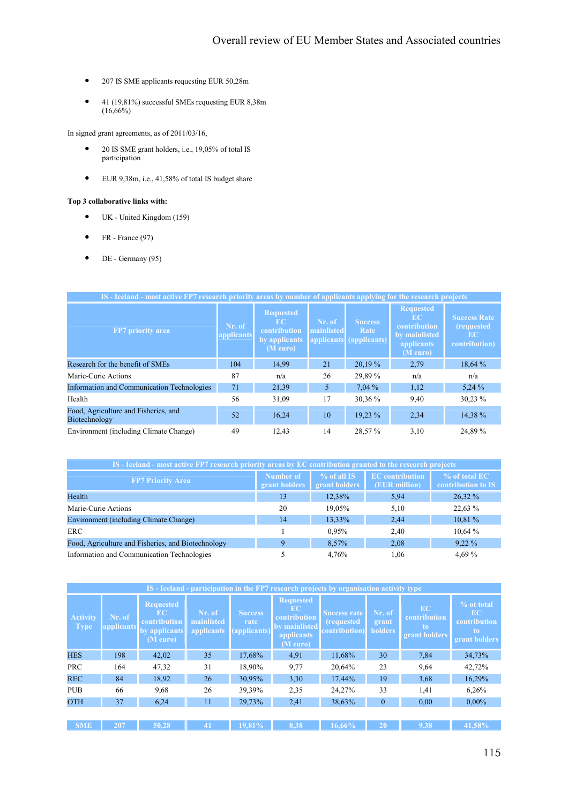- 207 IS SME applicants requesting EUR 50,28m
- 41 (19,81%) successful SMEs requesting EUR 8,38m  $(16,66%)$

In signed grant agreements, as of 2011/03/16,

- 20 IS SME grant holders, i.e., 19,05% of total IS participation
- EUR 9,38m, i.e., 41,58% of total IS budget share

### Top 3 collaborative links with:

- UK United Kingdom (159)
- FR France  $(97)$
- $\bullet$  DE Germany (95)

| IS - Iceland - most active FP7 research priority areas by number of applicants applying for the research projects |                      |                                                                     |                      |                                                   |                                                                                   |                                                                  |  |  |  |
|-------------------------------------------------------------------------------------------------------------------|----------------------|---------------------------------------------------------------------|----------------------|---------------------------------------------------|-----------------------------------------------------------------------------------|------------------------------------------------------------------|--|--|--|
| FP7 priority area                                                                                                 | Nr. of<br>applicants | <b>Requested</b><br>EC<br>contribution<br>by applicants<br>(M euro) | Nr. of<br>mainlisted | <b>Success</b><br>Rate<br>applicants (applicants) | <b>Requested</b><br>EC<br>contribution<br>by mainlisted<br>applicants<br>(M euro) | <b>Success Rate</b><br><i>(requested)</i><br>EC<br>contribution) |  |  |  |
| Research for the benefit of SMEs                                                                                  | 104                  | 14,99                                                               | 21                   | 20,19 %                                           | 2,79                                                                              | 18,64 %                                                          |  |  |  |
| Marie-Curie Actions                                                                                               | 87                   | n/a                                                                 | 26                   | 29,89 %                                           | n/a                                                                               | n/a                                                              |  |  |  |
| Information and Communication Technologies                                                                        | 71                   | 21,39                                                               | 5                    | 7,04%                                             | 1,12                                                                              | 5,24%                                                            |  |  |  |
| Health                                                                                                            | 56                   | 31,09                                                               | 17                   | 30,36 %                                           | 9,40                                                                              | 30,23 %                                                          |  |  |  |
| Food, Agriculture and Fisheries, and<br>Biotechnology                                                             | 52                   | 16,24                                                               | 10                   | 19.23 %                                           | 2,34                                                                              | 14,38 %                                                          |  |  |  |
| Environment (including Climate Change)                                                                            | 49                   | 12.43                                                               | 14                   | 28,57%                                            | 3,10                                                                              | 24,89 %                                                          |  |  |  |

| IS - Iceland - most active FP7 research priority areas by EC contribution granted to the research projects |                            |                                |                                         |                                     |  |  |  |  |
|------------------------------------------------------------------------------------------------------------|----------------------------|--------------------------------|-----------------------------------------|-------------------------------------|--|--|--|--|
| <b>FP7 Priority Area</b>                                                                                   | Number of<br>grant holders | $%$ of all IS<br>grant holders | <b>EC</b> contribution<br>(EUR million) | % of total EC<br>contribution to IS |  |  |  |  |
| Health                                                                                                     | 13                         | 12,38%                         | 5,94                                    | 26,32 %                             |  |  |  |  |
| Marie-Curie Actions                                                                                        | 20                         | 19,05%                         | 5,10                                    | 22,63 %                             |  |  |  |  |
| <b>Environment (including Climate Change)</b>                                                              | 14                         | 13,33%                         | 2,44                                    | 10,81 %                             |  |  |  |  |
| ERC.                                                                                                       |                            | 0.95%                          | 2.40                                    | 10,64%                              |  |  |  |  |
| Food, Agriculture and Fisheries, and Biotechnology                                                         | 9                          | 8,57%                          | 2,08                                    | $9.22\%$                            |  |  |  |  |
| Information and Communication Technologies                                                                 |                            | 4,76%                          | 1.06                                    | 4,69 %                              |  |  |  |  |

| IS - Iceland - participation in the FP7 research projects by organisation activity type |                      |                                                                     |                                    |                                        |                                                                                           |                                                          |                            |                                                  |                                                         |  |
|-----------------------------------------------------------------------------------------|----------------------|---------------------------------------------------------------------|------------------------------------|----------------------------------------|-------------------------------------------------------------------------------------------|----------------------------------------------------------|----------------------------|--------------------------------------------------|---------------------------------------------------------|--|
| <b>Activity</b><br><b>Type</b>                                                          | Nr. of<br>applicants | <b>Requested</b><br>EC<br>contribution<br>by applicants<br>(M euro) | Nr. of<br>mainlisted<br>applicants | <b>Success</b><br>rate<br>(applicants) | <b>Requested</b><br>EC.<br>contribution<br><b>by mainlisted</b><br>applicants<br>(M euro) | <b>Success rate</b><br>(requested<br><b>contribution</b> | Nr. of<br>grant<br>holders | <b>EC</b><br>contribution<br>to<br>grant holders | % ot total<br>EC<br>contribution<br>to<br>grant holders |  |
| <b>HES</b>                                                                              | 198                  | 42,02                                                               | 35                                 | 17,68%                                 | 4,91                                                                                      | 11,68%                                                   | 30                         | 7,84                                             | 34,73%                                                  |  |
| <b>PRC</b>                                                                              | 164                  | 47,32                                                               | 31                                 | 18,90%                                 | 9,77                                                                                      | 20,64%                                                   | 23                         | 9.64                                             | 42,72%                                                  |  |
| <b>REC</b>                                                                              | 84                   | 18.92                                                               | 26                                 | 30,95%                                 | 3,30                                                                                      | 17,44%                                                   | 19                         | 3,68                                             | 16,29%                                                  |  |
| <b>PUB</b>                                                                              | 66                   | 9.68                                                                | 26                                 | 39,39%                                 | 2,35                                                                                      | 24,27%                                                   | 33                         | 1,41                                             | 6,26%                                                   |  |
| <b>OTH</b>                                                                              | 37                   | 6,24                                                                | 11                                 | 29,73%                                 | 2,41                                                                                      | 38,63%                                                   | $\overline{0}$             | 0.00                                             | $0.00\%$                                                |  |
|                                                                                         |                      |                                                                     |                                    |                                        |                                                                                           |                                                          |                            |                                                  |                                                         |  |
| <b>SME</b>                                                                              | 207                  | 50.28                                                               | 41                                 | 19.81%                                 | 8.38                                                                                      | 16.66%                                                   | 20                         | 9.38                                             | 41,58%                                                  |  |